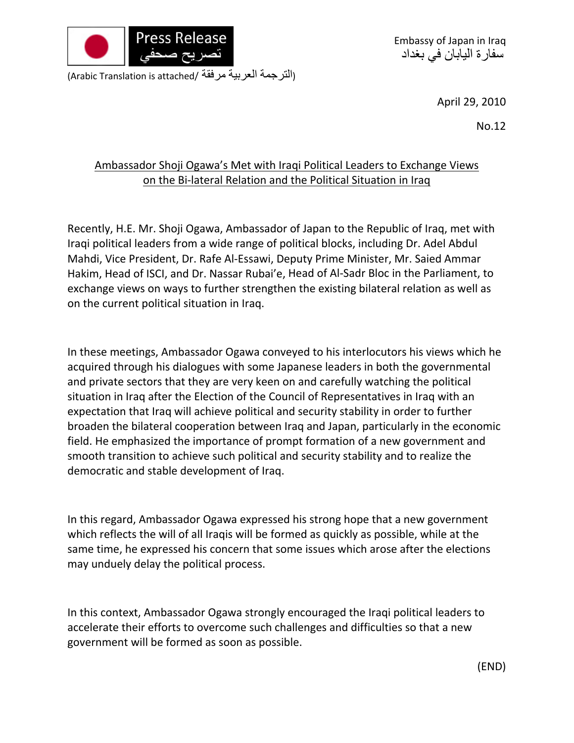

Embassy of Japan in Iraq سفارة اليابان في بغداد

(Arabic Translation is attached/ مرفقة العربية الترجمة(

April 29, 2010

No.12

## Ambassador Shoji Ogawa's Met with Iraqi Political Leaders to Exchange Views on the Bi-lateral Relation and the Political Situation in Iraq

Recently, H.E. Mr. Shoji Ogawa, Ambassador of Japan to the Republic of Iraq, met with Iraqi political leaders from a wide range of political blocks, including Dr. Adel Abdul Mahdi, Vice President, Dr. Rafe Al‐Essawi, Deputy Prime Minister, Mr. Saied Ammar Hakim, Head of ISCI, and Dr. Nassar Rubai'e, Head of Al‐Sadr Bloc in the Parliament, to exchange views on ways to further strengthen the existing bilateral relation as well as on the current political situation in Iraq.

In these meetings, Ambassador Ogawa conveyed to his interlocutors his views which he acquired through his dialogues with some Japanese leaders in both the governmental and private sectors that they are very keen on and carefully watching the political situation in Iraq after the Election of the Council of Representatives in Iraq with an expectation that Iraq will achieve political and security stability in order to further broaden the bilateral cooperation between Iraq and Japan, particularly in the economic field. He emphasized the importance of prompt formation of a new government and smooth transition to achieve such political and security stability and to realize the democratic and stable development of Iraq.

In this regard, Ambassador Ogawa expressed his strong hope that a new government which reflects the will of all Iraqis will be formed as quickly as possible, while at the same time, he expressed his concern that some issues which arose after the elections may unduely delay the political process.

In this context, Ambassador Ogawa strongly encouraged the Iraqi political leaders to accelerate their efforts to overcome such challenges and difficulties so that a new government will be formed as soon as possible.

(END)